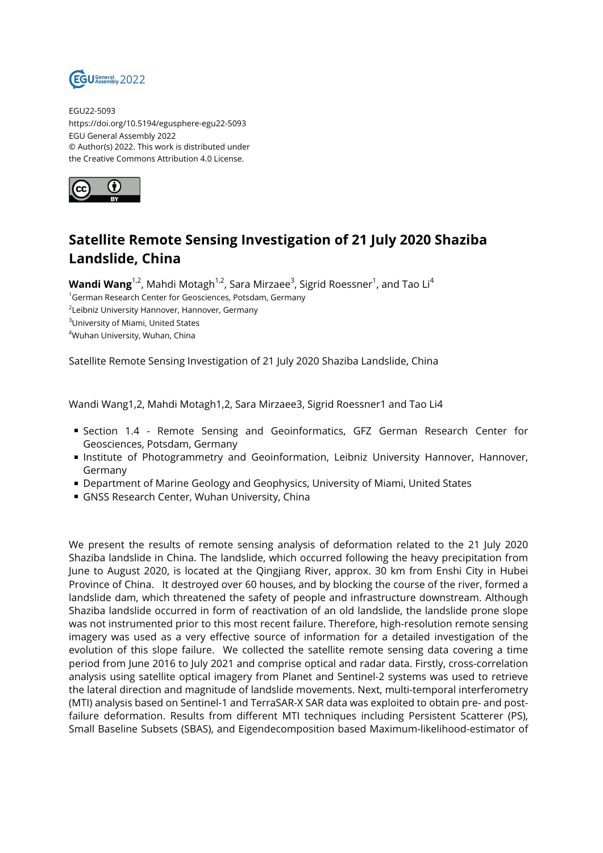

EGU22-5093 https://doi.org/10.5194/egusphere-egu22-5093 EGU General Assembly 2022 © Author(s) 2022. This work is distributed under the Creative Commons Attribution 4.0 License.



## **Satellite Remote Sensing Investigation of 21 July 2020 Shaziba Landslide, China**

**Wandi Wang**<sup>1,2</sup>, Mahdi Motagh<sup>1,2</sup>, Sara Mirzaee<sup>3</sup>, Sigrid Roessner<sup>1</sup>, and Tao Li<sup>4</sup>

<sup>1</sup>German Research Center for Geosciences, Potsdam, Germany

 $^{2}$ Leibniz University Hannover, Hannover, Germany

<sup>3</sup>University of Miami, United States

<sup>4</sup>Wuhan University, Wuhan, China

Satellite Remote Sensing Investigation of 21 July 2020 Shaziba Landslide, China

Wandi Wang1,2, Mahdi Motagh1,2, Sara Mirzaee3, Sigrid Roessner1 and Tao Li4

- Section 1.4 Remote Sensing and Geoinformatics, GFZ German Research Center for Geosciences, Potsdam, Germany
- **Institute of Photogrammetry and Geoinformation, Leibniz University Hannover, Hannover,** Germany
- **Department of Marine Geology and Geophysics, University of Miami, United States**
- GNSS Research Center, Wuhan University, China

We present the results of remote sensing analysis of deformation related to the 21 July 2020 Shaziba landslide in China. The landslide, which occurred following the heavy precipitation from June to August 2020, is located at the Qingjiang River, approx. 30 km from Enshi City in Hubei Province of China. It destroyed over 60 houses, and by blocking the course of the river, formed a landslide dam, which threatened the safety of people and infrastructure downstream. Although Shaziba landslide occurred in form of reactivation of an old landslide, the landslide prone slope was not instrumented prior to this most recent failure. Therefore, high-resolution remote sensing imagery was used as a very effective source of information for a detailed investigation of the evolution of this slope failure. We collected the satellite remote sensing data covering a time period from June 2016 to July 2021 and comprise optical and radar data. Firstly, cross-correlation analysis using satellite optical imagery from Planet and Sentinel-2 systems was used to retrieve the lateral direction and magnitude of landslide movements. Next, multi-temporal interferometry (MTI) analysis based on Sentinel-1 and TerraSAR-X SAR data was exploited to obtain pre- and postfailure deformation. Results from different MTI techniques including Persistent Scatterer (PS), Small Baseline Subsets (SBAS), and Eigendecomposition based Maximum-likelihood-estimator of